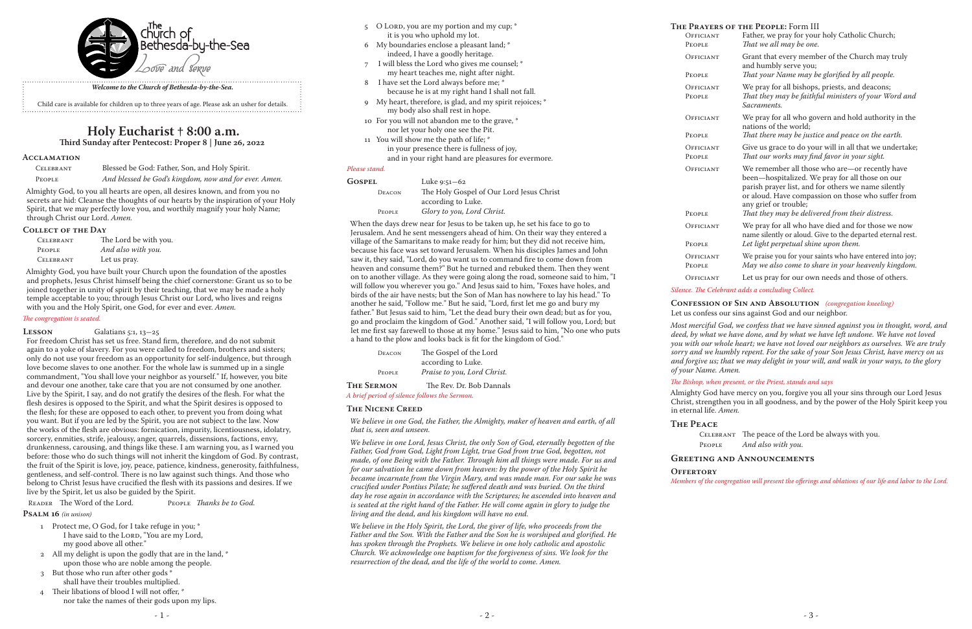|               | 5 O LORD, you are my portion and my cup; *              | <b>THE PRAYE</b> |
|---------------|---------------------------------------------------------|------------------|
|               | it is you who uphold my lot.                            | OFFICIAL         |
| 6             | My boundaries enclose a pleasant land; *                | PEOPLE           |
|               | indeed, I have a goodly heritage.                       | OFFICIAL         |
| 7             | I will bless the Lord who gives me counsel; *           |                  |
|               | my heart teaches me, night after night.                 | People           |
| 8             | I have set the Lord always before me; *                 | OFFICIAL         |
|               | because he is at my right hand I shall not fall.        | PEOPLE           |
| 9             | My heart, therefore, is glad, and my spirit rejoices; * |                  |
|               | my body also shall rest in hope.                        |                  |
|               | 10 For you will not abandon me to the grave, *          | OFFICIAL         |
|               | nor let your holy one see the Pit.                      | PEOPLE           |
|               | 11 You will show me the path of life; *                 |                  |
|               | in your presence there is fullness of joy,              | OFFICIAL         |
|               | and in your right hand are pleasures for evermore.      | PEOPLE           |
| Please stand. |                                                         | OFFICIAL         |
| <b>GOSPEL</b> | Luke $9:51 - 62$                                        |                  |
| DEACON        | The Holy Gospel of Our Lord Jesus Christ                |                  |

 according to Luke. People *Glory to you, Lord Christ.*

When the days drew near for Jesus to be taken up, he set his face to go to Jerusalem. And he sent messengers ahead of him. On their way they entered a village of the Samaritans to make ready for him; but they did not receive him, because his face was set toward Jerusalem. When his disciples James and John saw it, they said, "Lord, do you want us to command fire to come down from heaven and consume them?" But he turned and rebuked them. Then they went on to another village. As they were going along the road, someone said to him, "I will follow you wherever you go." And Jesus said to him, "Foxes have holes, and birds of the air have nests; but the Son of Man has nowhere to lay his head." To another he said, "Follow me." But he said, "Lord, first let me go and bury my father." But Jesus said to him, "Let the dead bury their own dead; but as for you, go and proclaim the kingdom of God." Another said, "I will follow you, Lord; but let me first say farewell to those at my home." Jesus said to him, "No one who puts a hand to the plow and looks back is fit for the kingdom of God."

| DEACON | The Gospel of the Lord      |
|--------|-----------------------------|
|        | according to Luke.          |
| PEOPLE | Praise to you, Lord Christ. |
|        |                             |

**The Sermon** The Rev. Dr. Bob Dannals *A brief period of silence follows the Sermon.*

## **The Nicene Creed**

*We believe in one God, the Father, the Almighty, maker of heaven and earth, of all that is, seen and unseen.*

*We believe in one Lord, Jesus Christ, the only Son of God, eternally begotten of the Father, God from God, Light from Light, true God from true God, begotten, not made, of one Being with the Father. Through him all things were made. For us and for our salvation he came down from heaven: by the power of the Holy Spirit he became incarnate from the Virgin Mary, and was made man. For our sake he was crucified under Pontius Pilate; he suffered death and was buried. On the third day he rose again in accordance with the Scriptures; he ascended into heaven and is seated at the right hand of the Father. He will come again in glory to judge the living and the dead, and his kingdom will have no end.*

*We believe in the Holy Spirit, the Lord, the giver of life, who proceeds from the Father and the Son. With the Father and the Son he is worshiped and glorified. He has spoken through the Prophets. We believe in one holy catholic and apostolic Church. We acknowledge one baptism for the forgiveness of sins. We look for the resurrection of the dead, and the life of the world to come. Amen.*

# **Acclamation**

| CELEBRANT | Blessed be God: Father, Son, and Holy Spirit.         |
|-----------|-------------------------------------------------------|
| PEOPLE    | And blessed be God's kingdom, now and for ever. Amen. |

Almighty God, to you all hearts are open, all desires known, and from you no secrets are hid: Cleanse the thoughts of our hearts by the inspiration of your Holy Spirit, that we may perfectly love you, and worthily magnify your holy Name; through Christ our Lord. *Amen.*

## **Collect of the Day**

| <b>CELEBRANT</b> | The Lord be with you. |
|------------------|-----------------------|
| <b>PEOPLE</b>    | And also with you.    |
| CELEBRANT        | Let us pray.          |

Almighty God, you have built your Church upon the foundation of the apostles and prophets, Jesus Christ himself being the chief cornerstone: Grant us so to be joined together in unity of spirit by their teaching, that we may be made a holy temple acceptable to you; through Jesus Christ our Lord, who lives and reigns with you and the Holy Spirit, one God, for ever and ever. *Amen.*

# *The congregation is seated.*

# **LESSON** Galatians 5:1, 13-25

For freedom Christ has set us free. Stand firm, therefore, and do not submit again to a yoke of slavery. For you were called to freedom, brothers and sisters; only do not use your freedom as an opportunity for self-indulgence, but through love become slaves to one another. For the whole law is summed up in a single commandment, "You shall love your neighbor as yourself." If, however, you bite and devour one another, take care that you are not consumed by one another. Live by the Spirit, I say, and do not gratify the desires of the flesh. For what the flesh desires is opposed to the Spirit, and what the Spirit desires is opposed to the flesh; for these are opposed to each other, to prevent you from doing what you want. But if you are led by the Spirit, you are not subject to the law. Now the works of the flesh are obvious: fornication, impurity, licentiousness, idolatry, sorcery, enmities, strife, jealousy, anger, quarrels, dissensions, factions, envy, drunkenness, carousing, and things like these. I am warning you, as I warned you before: those who do such things will not inherit the kingdom of God. By contrast, the fruit of the Spirit is love, joy, peace, patience, kindness, generosity, faithfulness, gentleness, and self-control. There is no law against such things. And those who belong to Christ Jesus have crucified the flesh with its passions and desires. If we live by the Spirit, let us also be guided by the Spirit.

READER The Word of the Lord. PEOPLE *Thanks be to God.* 

**Psalm 16** *(in unison)*

- 1 Protect me, O God, for I take refuge in you; \* I have said to the Lord, "You are my Lord, my good above all other."
- 2 All my delight is upon the godly that are in the land, \* upon those who are noble among the people.
- 3 But those who run after other gods \* shall have their troubles multiplied.
- 4 Their libations of blood I will not offer, \* nor take the names of their gods upon my lips.

# **Holy Eucharist † 8:00 a.m.**

**Third Sunday after Pentecost: Proper 8 | June 26, 2022**

|                            | THE PRAYERS OF THE PEOPLE: Form III                                                                                                                                                                                                     |
|----------------------------|-----------------------------------------------------------------------------------------------------------------------------------------------------------------------------------------------------------------------------------------|
| OFFICIANT                  | Father, we pray for your holy Catholic Church;                                                                                                                                                                                          |
| <b>PEOPLE</b>              | That we all may be one.                                                                                                                                                                                                                 |
| OFFICIANT                  | Grant that every member of the Church may truly<br>and humbly serve you;                                                                                                                                                                |
| <b>PEOPLE</b>              | That your Name may be glorified by all people.                                                                                                                                                                                          |
| OFFICIANT<br>PEOPLE        | We pray for all bishops, priests, and deacons;<br>That they may be faithful ministers of your Word and<br>Sacraments.                                                                                                                   |
| OFFICIANT                  | We pray for all who govern and hold authority in the<br>nations of the world:                                                                                                                                                           |
| PEOPLE                     | That there may be justice and peace on the earth.                                                                                                                                                                                       |
| OFFICIANT<br><b>PEOPLE</b> | Give us grace to do your will in all that we undertake;<br>That our works may find favor in your sight.                                                                                                                                 |
| OFFICIANT                  | We remember all those who are-or recently have<br>been—hospitalized. We pray for all those on our<br>parish prayer list, and for others we name silently<br>or aloud. Have compassion on those who suffer from<br>any grief or trouble; |
| <b>PEOPLE</b>              | That they may be delivered from their distress.                                                                                                                                                                                         |
| OFFICIANT                  | We pray for all who have died and for those we now<br>name silently or aloud. Give to the departed eternal rest.                                                                                                                        |
| PEOPLE                     | Let light perpetual shine upon them.                                                                                                                                                                                                    |
| OEEICLANT                  | We praise you for your saints who have entered into joy.                                                                                                                                                                                |

- OFFICIANT We praise you for your saints who have entered into joy;<br>PEOPLE May we also come to share in your heavenly kingdom. May we also come to share in your heavenly kingdom.
- OFFICIANT Let us pray for our own needs and those of others.

*Silence. The Celebrant adds a concluding Collect.*

# **Confession of Sin and Absolution** *(congregation kneeling)*

Let us confess our sins against God and our neighbor.

CELEBRANT The peace of the Lord be always with you.<br>PEOPLE And also with you. And also with you.

*Most merciful God, we confess that we have sinned against you in thought, word, and deed, by what we have done, and by what we have left undone. We have not loved you with our whole heart; we have not loved our neighbors as ourselves. We are truly sorry and we humbly repent. For the sake of your Son Jesus Christ, have mercy on us and forgive us; that we may delight in your will, and walk in your ways, to the glory of your Name. Amen.*

# *The Bishop, when present, or the Priest, stands and says*

Almighty God have mercy on you, forgive you all your sins through our Lord Jesus Christ, strengthen you in all goodness, and by the power of the Holy Spirit keep you in eternal life. *Amen.*

# **The Peace**

# **Greeting and Announcements**

**Offertory**

*Members of the congregation will present the offerings and oblations of our life and labor to the Lord.*



## *Welcome to the Church of Bethesda-by-the-Sea.*

Child care is available for children up to three years of age. Please ask an usher for details.